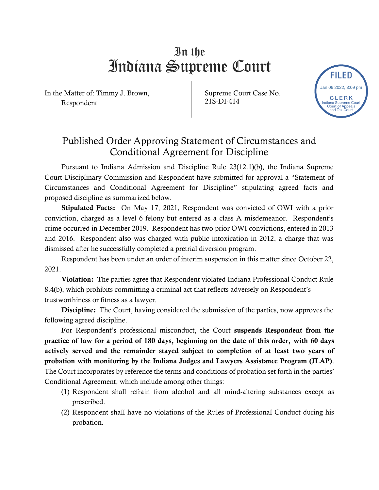## In the Indiana Supreme Court

In the Matter of: Timmy J. Brown, Respondent

Supreme Court Case No. 21S-DI-414

FILED

CLERK Indiana Supreme Court Court of Appeals and Tax Court

Jan 06 2022, 3:09 pm

## Published Order Approving Statement of Circumstances and Conditional Agreement for Discipline

Pursuant to Indiana Admission and Discipline Rule 23(12.1)(b), the Indiana Supreme Court Disciplinary Commission and Respondent have submitted for approval a "Statement of Circumstances and Conditional Agreement for Discipline" stipulating agreed facts and proposed discipline as summarized below.

Stipulated Facts: On May 17, 2021, Respondent was convicted of OWI with a prior conviction, charged as a level 6 felony but entered as a class A misdemeanor. Respondent's crime occurred in December 2019. Respondent has two prior OWI convictions, entered in 2013 and 2016. Respondent also was charged with public intoxication in 2012, a charge that was dismissed after he successfully completed a pretrial diversion program.

Respondent has been under an order of interim suspension in this matter since October 22, 2021.

Violation: The parties agree that Respondent violated Indiana Professional Conduct Rule 8.4(b), which prohibits committing a criminal act that reflects adversely on Respondent's trustworthiness or fitness as a lawyer.

Discipline: The Court, having considered the submission of the parties, now approves the following agreed discipline.

For Respondent's professional misconduct, the Court suspends Respondent from the practice of law for a period of 180 days, beginning on the date of this order, with 60 days actively served and the remainder stayed subject to completion of at least two years of probation with monitoring by the Indiana Judges and Lawyers Assistance Program (JLAP). The Court incorporates by reference the terms and conditions of probation set forth in the parties' Conditional Agreement, which include among other things:

- (1) Respondent shall refrain from alcohol and all mind-altering substances except as prescribed.
- (2) Respondent shall have no violations of the Rules of Professional Conduct during his probation.